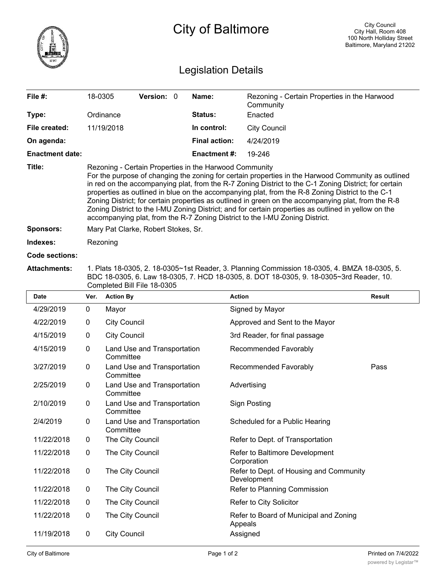

## City of Baltimore

## Legislation Details

| File $#$ :             | 18-0305                                                                                                                                                                                                                                                                                                                                                                                                                                                                                                                                                                                                                                                                  | <b>Version: 0</b> |  | Name:                | Rezoning - Certain Properties in the Harwood<br>Community |  |  |  |
|------------------------|--------------------------------------------------------------------------------------------------------------------------------------------------------------------------------------------------------------------------------------------------------------------------------------------------------------------------------------------------------------------------------------------------------------------------------------------------------------------------------------------------------------------------------------------------------------------------------------------------------------------------------------------------------------------------|-------------------|--|----------------------|-----------------------------------------------------------|--|--|--|
| Type:                  | Ordinance                                                                                                                                                                                                                                                                                                                                                                                                                                                                                                                                                                                                                                                                |                   |  | <b>Status:</b>       | Enacted                                                   |  |  |  |
| File created:          | 11/19/2018                                                                                                                                                                                                                                                                                                                                                                                                                                                                                                                                                                                                                                                               |                   |  | In control:          | City Council                                              |  |  |  |
| On agenda:             |                                                                                                                                                                                                                                                                                                                                                                                                                                                                                                                                                                                                                                                                          |                   |  | <b>Final action:</b> | 4/24/2019                                                 |  |  |  |
| <b>Enactment date:</b> |                                                                                                                                                                                                                                                                                                                                                                                                                                                                                                                                                                                                                                                                          |                   |  | <b>Enactment #:</b>  | 19-246                                                    |  |  |  |
| Title:                 | Rezoning - Certain Properties in the Harwood Community<br>For the purpose of changing the zoning for certain properties in the Harwood Community as outlined<br>in red on the accompanying plat, from the R-7 Zoning District to the C-1 Zoning District; for certain<br>properties as outlined in blue on the accompanying plat, from the R-8 Zoning District to the C-1<br>Zoning District; for certain properties as outlined in green on the accompanying plat, from the R-8<br>Zoning District to the I-MU Zoning District; and for certain properties as outlined in yellow on the<br>accompanying plat, from the R-7 Zoning District to the I-MU Zoning District. |                   |  |                      |                                                           |  |  |  |
| <b>Sponsors:</b>       | Mary Pat Clarke, Robert Stokes, Sr.                                                                                                                                                                                                                                                                                                                                                                                                                                                                                                                                                                                                                                      |                   |  |                      |                                                           |  |  |  |
| Indexes:               | Rezoning                                                                                                                                                                                                                                                                                                                                                                                                                                                                                                                                                                                                                                                                 |                   |  |                      |                                                           |  |  |  |
| Code sections:         |                                                                                                                                                                                                                                                                                                                                                                                                                                                                                                                                                                                                                                                                          |                   |  |                      |                                                           |  |  |  |

## **Attachments:** 1. Plats 18-0305, 2. 18-0305~1st Reader, 3. Planning Commission 18-0305, 4. BMZA 18-0305, 5. BDC 18-0305, 6. Law 18-0305, 7. HCD 18-0305, 8. DOT 18-0305, 9. 18-0305~3rd Reader, 10. Completed Bill File 18-0305

| <b>Date</b> | Ver.         | <b>Action By</b>                         | <b>Action</b>                                          | <b>Result</b> |
|-------------|--------------|------------------------------------------|--------------------------------------------------------|---------------|
| 4/29/2019   | 0            | Mayor                                    | Signed by Mayor                                        |               |
| 4/22/2019   | 0            | <b>City Council</b>                      | Approved and Sent to the Mayor                         |               |
| 4/15/2019   | 0            | <b>City Council</b>                      | 3rd Reader, for final passage                          |               |
| 4/15/2019   | 0            | Land Use and Transportation<br>Committee | Recommended Favorably                                  |               |
| 3/27/2019   | 0            | Land Use and Transportation<br>Committee | Recommended Favorably                                  | Pass          |
| 2/25/2019   | 0            | Land Use and Transportation<br>Committee | Advertising                                            |               |
| 2/10/2019   | 0            | Land Use and Transportation<br>Committee | <b>Sign Posting</b>                                    |               |
| 2/4/2019    | $\mathbf 0$  | Land Use and Transportation<br>Committee | Scheduled for a Public Hearing                         |               |
| 11/22/2018  | $\mathbf{0}$ | The City Council                         | Refer to Dept. of Transportation                       |               |
| 11/22/2018  | $\mathbf{0}$ | The City Council                         | Refer to Baltimore Development<br>Corporation          |               |
| 11/22/2018  | $\mathbf 0$  | The City Council                         | Refer to Dept. of Housing and Community<br>Development |               |
| 11/22/2018  | $\mathbf{0}$ | The City Council                         | Refer to Planning Commission                           |               |
| 11/22/2018  | $\mathbf 0$  | The City Council                         | Refer to City Solicitor                                |               |
| 11/22/2018  | $\mathbf 0$  | The City Council                         | Refer to Board of Municipal and Zoning<br>Appeals      |               |
| 11/19/2018  | $\mathbf 0$  | <b>City Council</b>                      | Assigned                                               |               |